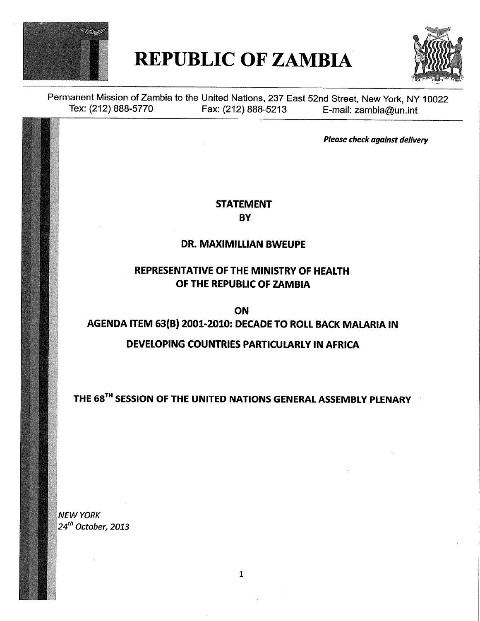

# REPUBLIC OF ZAMBIA



Permanent Mission of Zambia to the United Nations, 237 East 52nd Street, New York, NY 10022 Tex: (212) 888-5770 Fax: (212) 888-5213 E-mail: zambia@un.int

Please check against delivery

#### STATEMENT **BY**

#### DR. MAXIMILLIAN BWEUPE

### REPRESENTATIVE OF THE MINISTRY OF HEALTH OF THE REPUBLIC OF ZAMBIA

ON AGENDA ITEM 63(B) 2001-2010: DECADE TO ROLL BACK MALARIA IN

### DEVELOPING COUNTRIES PARTICULARLY IN AFRICA

THE 68<sup>TH</sup> SESSION OF THE UNITED NATIONS GENERAL ASSEMBLY PLENARY

NEW YORK  $24<sup>th</sup>$  October, 2013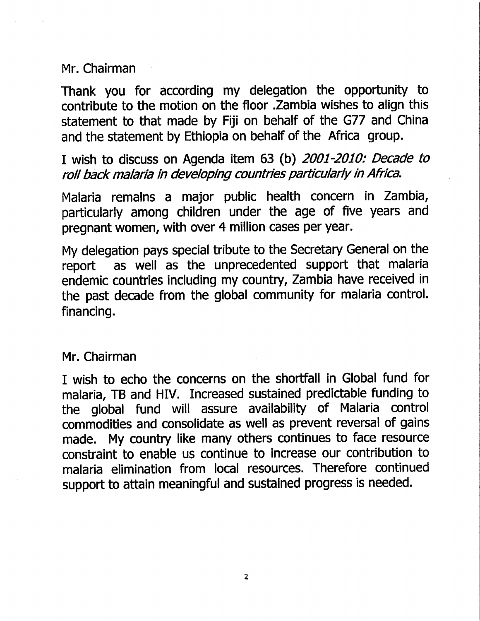Mr. Chairman

Thank you for according my delegation the opportunity to contribute to the motion on the floor .Zambia wishes to align this statement to that made by Fiji on behalf of the G77 and China and the statement by Ethiopia on behalf of the Africa group.

I wish to discuss on Agenda item 63 (b) 2001-2010: Decade to roll back malaria in developing countries particularly in Africa.

Malaria remains a major public health concern in Zambia, particularly among children under the age of five years and pregnant women, with over 4 million cases per year.

My delegation pays special tribute to the Secretary General on the report as well as the unprecedented support that malaria endemic countries including my country, Zambia have received in the past decade from the global community for malaria control. financing.

## Mr. Chairman

I wish to echo the concerns on the shortfall in Global fund for malaria, TB and HIV. Increased sustained predictable funding to the global fund will assure availability of Malaria control commodities and consolidate as well as prevent reversal of gains made. My country like many others continues to face resource constraint to enable us continue to increase our contribution to malaria elimination from local resources. Therefore continued support to attain meaningful and sustained progress is needed.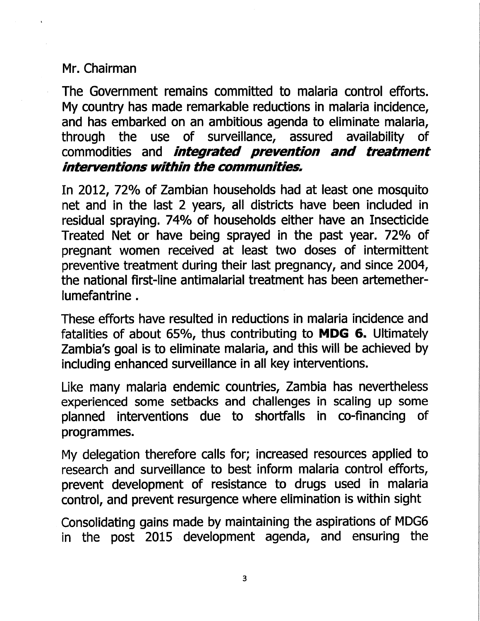## Mr. Chairman

The Government remains committed to malaria control efforts. My country has made remarkable reductions in malaria incidence, and has embarked on an ambitious agenda to eliminate malaria, through the use of surveillance, assured availability of commodities and *integrated prevention and treatment* interventions within the communities.

In 2012, 72% of Zambian households had at least one mosquito net and in the last 2 years, all districts have been included in residual spraying. 74% of households either have an Insecticide Treated Net or have being sprayed in the past year. 72% of pregnant women received at least two doses of intermittent preventive treatment during their last pregnancy, and since 2004, the national first-line antimalarial treatment has been artemetherlumefantrine.

These efforts have resulted in reductions in malaria incidence and fatalities of about 65%, thus contributing to MDG 6. Ultimately Zambia's goal is to eliminate malaria, and this will be achieved by including enhanced surveillance in all key interventions.

Like many malaria endemic countries, Zambia has nevertheless experienced some setbacks and challenges in scaling up some planned interventions due to shortfalls in co-financing of programmes.

My delegation therefore calls for; increased resources applied to research and surveillance to best inform malaria control efforts, prevent development of resistance to drugs used in malaria control, and prevent resurgence where elimination is within sight

Consolidating gains made by maintaining the aspirations of MDG6 in the post 2015 development agenda, and ensuring the